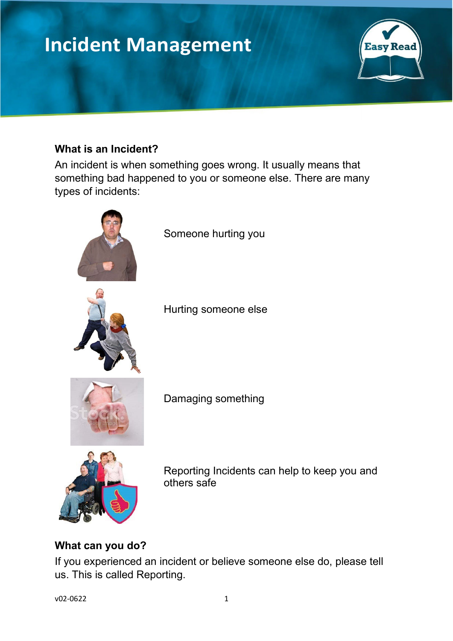# **Incident Management**



#### **What is an Incident?**

An incident is when something goes wrong. It usually means that something bad happened to you or someone else. There are many types of incidents:



#### **What can you do?**

If you experienced an incident or believe someone else do, please tell us. This is called Reporting.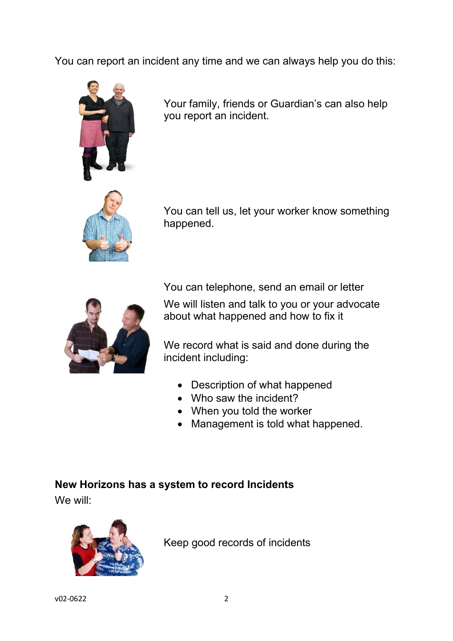You can report an incident any time and we can always help you do this:



Your family, friends or Guardian's can also help you report an incident.



You can tell us, let your worker know something happened.



You can telephone, send an email or letter

We will listen and talk to you or your advocate about what happened and how to fix it

We record what is said and done during the incident including:

- Description of what happened
- Who saw the incident?
- When you told the worker
- Management is told what happened.

### **New Horizons has a system to record Incidents**

We will:



Keep good records of incidents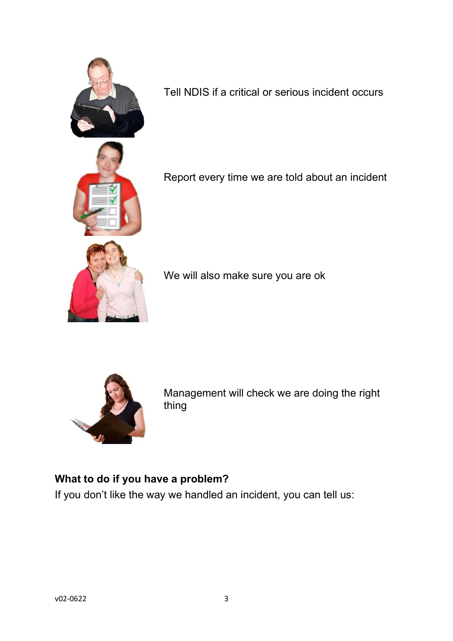

Tell NDIS if a critical or serious incident occurs



Report every time we are told about an incident

We will also make sure you are ok



Management will check we are doing the right thing

## **What to do if you have a problem?**

If you don't like the way we handled an incident, you can tell us: